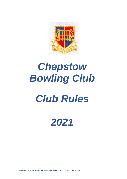

# Chepstow **Bowling Club**

## **Club Rules**

### 2021

CHEPSTOW BOWLING CLUB RULES VERSION 1.0 - 21ST OCTOBER 2021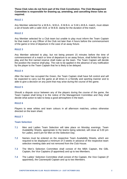**These Club rules do not form part of the Club Constitution. The Club Management Committee is responsible for drawing up, amending, and cancelling these rules as required.**

#### **RULE 1**

Any Member selected for a W.B.A., M.B.A., E.M.B.A. or S.W.L.M.B.A. match, must obtain a set of bowls with a valid I.B.B. or W.B.B. stamp for the duration of the match.

#### **RULE 2**

Any Member selected for a Club team but unable to play must inform the Team Captain for that match or any Officer of the Club not later than 4 hours before the commencement of the game or time of departure in the case of an away fixture.

#### **RULE 3**

Any Member selected to play, but not being present 15 minutes before the time of commencement of a match or time of departure to an away fixture, shall forfeit the right to play and the first named reserve shall make up the team. The Team Captain will decide the position the reserve shall play. The rule to be applied in the absence of any notification by the player to the Team Captain that he is likely to be delayed.

#### **RULE 4**

After the team has occupied the Green, the Team Captain shall have full control and will be expected to carry out the game at all times in a friendly and sporting manner and to able to give a decision on any point that may arise during the course of the game.

#### **RULE 5**

Should a dispute occur between any of the players during the course of the game, the Team Captain shall bring it to the notice of the Management Committee and they shall decide what action to take to keep a good atmosphere in the team.

#### **RULE 6**

Players to wear whites and team colours in all afternoon matches, unless otherwise directed on the team sheet.

#### **RULE 7**

#### **Team Selection**

- **7.1** Men and Ladies Team Selection will take place on Monday evenings. Team Availability Sheets, appropriate to the teams being selected, will close at 5.00 pm for Ladies, and 6 pm for Men on the Selection Day.
- **7.2** Names must be entered on the respective Team Availability Sheets, which are required to be displayed a minimum of 3 weeks in advance of the respective team selection meeting date and not removed from the Club House.
- **7.3** The Men's Selection Committee shall consist of the MBA Captain, the GBL Captain, the Vice Captains (if appointed) and up to two Members.
- **7.4** The Ladies' Selection Committee shall consist of the Captain, the Vice Captain (if appointed), the Casnewydd Captain and up to two Members.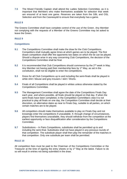**7.5** The Mixed Friendly Captain shall attend the Ladies Selection Committee, as it is important that Members who make themselves available for selection that week are ensured of at least one game. Reserves are taken from the GBL and OSL Selection and from the Casnewydd to ensure that everybody has a game.

#### **RULE 8**

The Greens Committee shall have complete control of the use of the Green. Any Member not complying with the requests of a Member of the Greens Committee may be asked to leave the Green.

#### **RULE 9**

#### **Competitions**

- **9.1** The Competitions Committee shall make the draw for the Club Competitions. Competitors shall mutually agree times at which games are to be played. The first drawn competitors shall offer the opponents two dates on which the tie can be played. Should a dispute arise in any way concerning Club Competitions, the decision of the Competitions Committee shall be final.
- **9.2** It is recommended that Club Competitions should commence by the 2<sup>nd</sup> week in May. Any Member not having paid their membership fees by 1<sup>st</sup> May, as set in the constitution, shall not be eligible to enter the competitions.
- **9.3** Dress for all Club Competitions up to and including the semi-finals shall be played in white shirt / blouse and grey trousers / skirt / Shorts.
- **9.4** Finals of all Competitions shall be played in whites unless otherwise stated by the Competitions Committee.
- **9.5** The Management Committee shall agree the date of the Competitions Finals Day each year, and where possible, all finals should be played on that day. If when the semi-finals have been completed, in the Competition Committee's view it is not practical to play all finals on one day, the Competition Committee shall decide at their discretion, on alternative dates as near to Finals Day, suitable to all parties, on which certain matches are to be played.
- **9.6** All competitors should make themselves available to play on Finals Day and not knowingly enter the competitions if unavailable. If, through change of circumstances, players find themselves unavailable, they should withdraw from the competition at the earliest opportunity or face disqualification after consideration by the Competitions Committee.
- **9.7** Substitutions In Pairs Competitions, substitutes shall be permitted up to and including the semi-final. Substitutes shall not have played in any previous rounds of that competition. The substitute player shall then play the remainder of the matches in that competition. Only one substitute per team shall be permitted.

#### **RULE 10**

All competition fees must be paid to the Chairman of the Competitions Committee or the Treasurer at the time of signing the entry sheets or by 1<sup>st</sup> May at the latest. Failure to do so will result in entries not being submitted in the draw.